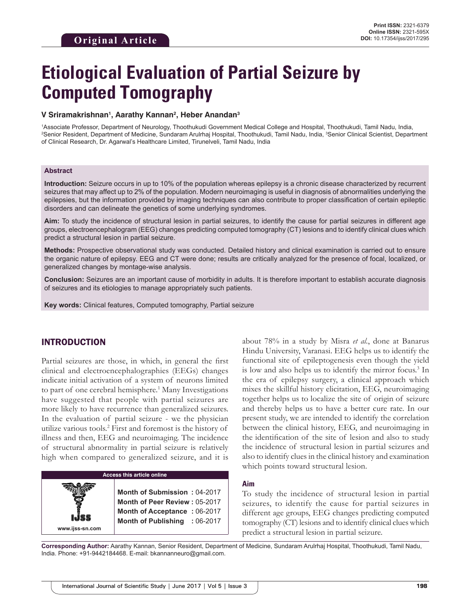# **Etiological Evaluation of Partial Seizure by Computed Tomography**

#### **V Sriramakrishnan1 , Aarathy Kannan2 , Heber Anandan3**

1 Associate Professor, Department of Neurology, Thoothukudi Government Medical College and Hospital, Thoothukudi, Tamil Nadu, India, 2 Senior Resident, Department of Medicine, Sundaram Arulrhaj Hospital, Thoothukudi, Tamil Nadu, India, 3 Senior Clinical Scientist, Department of Clinical Research, Dr. Agarwal's Healthcare Limited, Tirunelveli, Tamil Nadu, India

#### **Abstract**

**Introduction:** Seizure occurs in up to 10% of the population whereas epilepsy is a chronic disease characterized by recurrent seizures that may affect up to 2% of the population. Modern neuroimaging is useful in diagnosis of abnormalities underlying the epilepsies, but the information provided by imaging techniques can also contribute to proper classification of certain epileptic disorders and can delineate the genetics of some underlying syndromes.

**Aim:** To study the incidence of structural lesion in partial seizures, to identify the cause for partial seizures in different age groups, electroencephalogram (EEG) changes predicting computed tomography (CT) lesions and to identify clinical clues which predict a structural lesion in partial seizure.

**Methods:** Prospective observational study was conducted. Detailed history and clinical examination is carried out to ensure the organic nature of epilepsy. EEG and CT were done; results are critically analyzed for the presence of focal, localized, or generalized changes by montage-wise analysis.

**Conclusion:** Seizures are an important cause of morbidity in adults. It is therefore important to establish accurate diagnosis of seizures and its etiologies to manage appropriately such patients.

**Key words:** Clinical features, Computed tomography, Partial seizure

# INTRODUCTION

**www.ijss-sn.com**

Partial seizures are those, in which, in general the first clinical and electroencephalographies (EEGs) changes indicate initial activation of a system of neurons limited to part of one cerebral hemisphere.<sup>1</sup> Many Investigations have suggested that people with partial seizures are more likely to have recurrence than generalized seizures. In the evaluation of partial seizure - we the physician utilize various tools.2 First and foremost is the history of illness and then, EEG and neuroimaging. The incidence of structural abnormality in partial seizure is relatively high when compared to generalized seizure, and it is

# **Access this article online Month of Submission :** 04-2017 **Month of Peer Review :** 05-2017 **Month of Acceptance :** 06-2017 **Month of Publishing :** 06-2017

about 78% in a study by Misra *et al.*, done at Banarus Hindu University, Varanasi. EEG helps us to identify the functional site of epileptogenesis even though the yield is low and also helps us to identify the mirror focus.<sup>3</sup> In the era of epilepsy surgery, a clinical approach which mixes the skillful history elicitation, EEG, neuroimaging together helps us to localize the site of origin of seizure and thereby helps us to have a better cure rate. In our present study, we are intended to identify the correlation between the clinical history, EEG, and neuroimaging in the identification of the site of lesion and also to study the incidence of structural lesion in partial seizures and also to identify clues in the clinical history and examination which points toward structural lesion.

#### **Aim**

To study the incidence of structural lesion in partial seizures, to identify the cause for partial seizures in different age groups, EEG changes predicting computed tomography (CT) lesions and to identify clinical clues which predict a structural lesion in partial seizure.

**Corresponding Author:** Aarathy Kannan, Senior Resident, Department of Medicine, Sundaram Arulrhaj Hospital, Thoothukudi, Tamil Nadu, India. Phone: +91-9442184468. E-mail: bkannanneuro@gmail.com.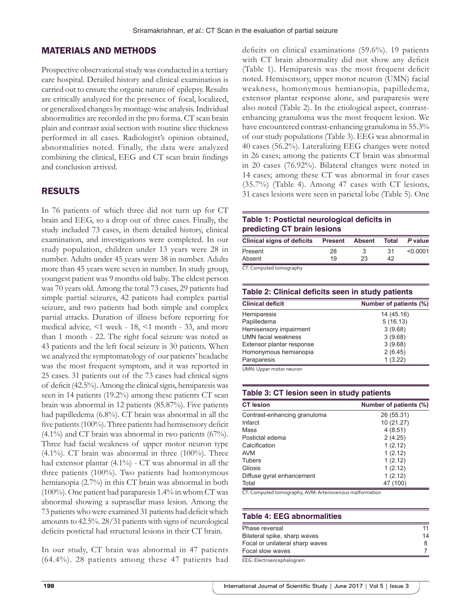# MATERIALS AND METHODS

Prospective observational study was conducted in a tertiary care hospital. Detailed history and clinical examination is carried out to ensure the organic nature of epilepsy. Results are critically analyzed for the presence of focal, localized, or generalized changes by montage-wise analysis. Individual abnormalities are recorded in the pro forma. CT scan brain plain and contrast axial section with routine slice thickness performed in all cases. Radiologist's opinion obtained, abnormalities noted. Finally, the data were analyzed combining the clinical, EEG and CT scan brain findings and conclusion arrived.

#### RESULTS

In 76 patients of which three did not turn up for CT brain and EEG, so a drop out of three cases. Finally, the study included 73 cases, in them detailed history, clinical examination, and investigations were completed. In our study population, children under 13 years were 28 in number. Adults under 45 years were 38 in number. Adults more than 45 years were seven in number. In study group, youngest patient was 9 months old baby. The eldest person was 70 years old. Among the total 73 cases, 29 patients had simple partial seizures, 42 patients had complex partial seizure, and two patients had both simple and complex partial attacks. Duration of illness before reporting for medical advice, <1 week - 18, <1 month - 33, and more than 1 month - 22. The right focal seizure was noted as 43 patients and the left focal seizure is 30 patients. When we analyzed the symptomatology of our patients' headache was the most frequent symptom, and it was reported in 25 cases. 31 patients out of the 73 cases had clinical signs of deficit (42.5%). Among the clinical signs, hemiparesis was seen in 14 patients (19.2%) among these patients CT scan brain was abnormal in 12 patients (85.87%). Five patients had papilledema (6.8%). CT brain was abnormal in all the five patients (100%). Three patients had hemisensory deficit (4.1%) and CT brain was abnormal in two patients (67%). Three had facial weakness of upper motor neuron type  $(4.1\%)$ . CT brain was abnormal in three  $(100\%)$ . Three had extensor plantar (4.1%) - CT was abnormal in all the three patients (100%). Two patients had homonymous hemianopia (2.7%) in this CT brain was abnormal in both (100%). One patient had paraparesis 1.4% in whom CT was abnormal showing a suprasellar mass lesion. Among the 73 patients who were examined 31 patients had deficit which amounts to 42.5%. 28/31 patients with signs of neurological deficits postictal had structural lesions in their CT brain.

In our study, CT brain was abnormal in 47 patients (64.4%). 28 patients among these 47 patients had deficits on clinical examinations (59.6%). 19 patients with CT brain abnormality did not show any deficit (Table 1). Hemiparesis was the most frequent deficit noted. Hemisensory, upper motor neuron (UMN) facial weakness, homonymous hemianopia, papilledema, extensor plantar response alone, and paraparesis were also noted (Table 2). In the etiological aspect, contrastenhancing granuloma was the most frequent lesion. We have encountered contrast-enhancing granuloma in 55.3% of our study populations (Table 3). EEG was abnormal in 40 cases (56.2%). Lateralizing EEG changes were noted in 26 cases; among the patients CT brain was abnormal in 20 cases (76.92%). Bilateral changes were noted in 14 cases; among these CT was abnormal in four cases (35.7%) (Table 4). Among 47 cases with CT lesions, 31 cases lesions were seen in parietal lobe (Table 5). One

#### **Table 1: Postictal neurological deficits in predicting CT brain lesions**

| <b>Clinical signs of deficits Present</b> |    | <b>Absent</b> | Total | P value  |
|-------------------------------------------|----|---------------|-------|----------|
| Present                                   | 28 |               | .31   | < 0.0001 |
| Absent                                    | 19 | 23            | 42    |          |
|                                           |    |               |       |          |

CT: Computed tomography

| Table 2: Clinical deficits seen in study patients |                        |  |
|---------------------------------------------------|------------------------|--|
| <b>Clinical deficit</b>                           | Number of patients (%) |  |
| Hemiparesis                                       | 14 (45.16)             |  |
| Papilledema                                       | 5(16.13)               |  |
| Hemisensory impairment                            | 3(9.68)                |  |
| <b>UMN</b> facial weakness                        | 3(9.68)                |  |
| Extensor plantar response                         | 3(9.68)                |  |
| Homonymous hemianopia                             | 2(6.45)                |  |
| Paraparesis                                       | 1(3.22)                |  |

UMN: Upper motor neuron

| <u>rable J. UT resign seem in stuuy patients</u> |                        |  |
|--------------------------------------------------|------------------------|--|
| <b>CT</b> lesion                                 | Number of patients (%) |  |
| Contrast-enhancing granuloma                     | 26 (55.31)             |  |
| Infarct                                          | 10 (21.27)             |  |
| Mass                                             | 4(8.51)                |  |
| Postictal edema                                  | 2(4.25)                |  |
| Calcification                                    | 1(2.12)                |  |
| <b>AVM</b>                                       | 1(2.12)                |  |
| Tubers                                           | 1(2.12)                |  |
| Gliosis                                          | 1(2.12)                |  |
| Diffuse gyral enhancement                        | 1(2.12)                |  |
| Total                                            | 47 (100)               |  |

CT: Computed tomography, AVM: Arteriovenous malformation

**Table 3: CT lesion seen in study patients**

#### **Table 4: EEG abnormalities**

| Phase reversal                  | 11 |
|---------------------------------|----|
| Bilateral spike, sharp waves    | 14 |
| Focal or unilateral sharp waves | 8  |
| Focal slow waves                |    |
| $- - - - -$                     |    |

EEG: Electroencephalogram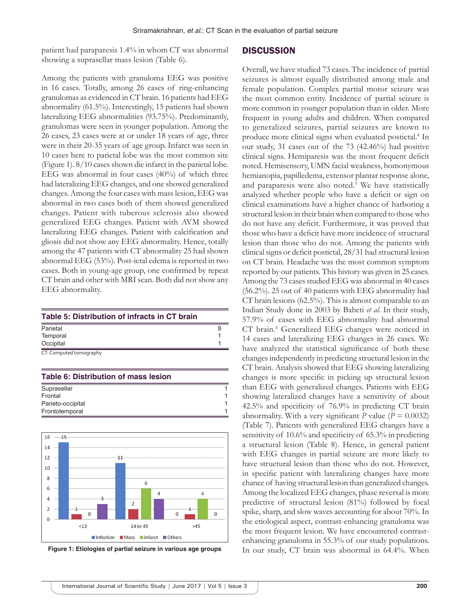patient had paraparesis 1.4% in whom CT was abnormal showing a suprasellar mass lesion (Table 6).

# **DISCUSSION**

Among the patients with granuloma EEG was positive in 16 cases. Totally, among 26 cases of ring-enhancing granulomas as evidenced in CT brain. 16 patients had EEG abnormality (61.5%). Interestingly, 15 patients had shown lateralizing EEG abnormalities (93.75%). Predominantly, granulomas were seen in younger population. Among the 26 cases, 23 cases were at or under 18 years of age, three were in their 20-35 years of age group. Infarct was seen in 10 cases here to parietal lobe was the most common site (Figure 1). 8/10 cases shown die infarct in the parietal lobe. EEG was abnormal in four cases (40%) of which three had lateralizing EEG changes, and one showed generalized changes. Among the four cases with mass lesion, EEG was abnormal in two cases both of them showed generalized changes. Patient with tuberous sclerosis also showed generalized EEG changes. Patient with AVM showed lateralizing EEG changes. Patient with calcification and gliosis did not show any EEG abnormality. Hence, totally among the 47 patients with CT abnormality 25 had shown abnormal EEG (53%). Post-ictal edema is reported in two cases. Both in young-age group, one confirmed by repeat CT brain and other with MRI scan. Both did not show any EEG abnormality.

| Parietal  |  |
|-----------|--|
|           |  |
| Temporal  |  |
| Occipital |  |

### **Table 6: Distribution of mass lesion**

| Suprasellar       |  |
|-------------------|--|
| Frontal           |  |
| Parieto-occipital |  |
| Frontotemporal    |  |
|                   |  |



**Figure 1: Etiologies of partial seizure in various age groups**

Overall, we have studied 73 cases. The incidence of partial seizures is almost equally distributed among male and female population. Complex partial motor seizure was the most common entity. Incidence of partial seizure is more common in younger population than in older. More frequent in young adults and children. When compared to generalized seizures, partial seizures are known to produce more clinical signs when evaluated postictal.<sup>4</sup> In our study, 31 cases out of the 73 (42.46%) had positive clinical signs. Hemiparesis was the most frequent deficit noted. Hemisensory, UMN facial weakness, homonymous hemianopia, papilledema, extensor plantar response alone, and paraparesis were also noted.<sup>5</sup> We have statistically analyzed whether people who have a deficit or sign on clinical examinations have a higher chance of harboring a structural lesion in their brain when compared to those who do not have any deficit. Furthermore, it was proved that those who have a deficit have more incidence of structural lesion than those who do not. Among the patients with clinical signs or deficit postictal, 28/31 had structural lesion on CT brain. Headache was the most common symptom reported by our patients. This history was given in 25 cases. Among the 73 cases studied EEG was abnormal in 40 cases (56.2%). 25 out of 40 patients with EEG abnormality had CT brain lesions (62.5%). This is almost comparable to an Indian Study done in 2003 by Baheti *et al*. In their study, 57.9% of cases with EEG abnormality had abnormal CT brain.<sup>6</sup> Generalized EEG changes were noticed in 14 cases and lateralizing EEG changes in 26 cases. We have analyzed the statistical significance of both these changes independently in predicting structural lesion in the CT brain. Analysis showed that EEG showing lateralizing changes is more specific in picking up structural lesion than EEG with generalized changes. Patients with EEG showing lateralized changes have a sensitivity of about 42.5% and specificity of 76.9% in predicting CT brain abnormality. With a very significant *P* value ( $P = 0.0032$ ) (Table 7). Patients with generalized EEG changes have a sensitivity of 10.6% and specificity of 65.3% in predicting a structural lesion (Table 8). Hence, in general patient with EEG changes in partial seizure are more likely to have structural lesion than those who do not. However, in specific patient with lateralizing changes have more chance of having structural lesion than generalized changes. Among the localized EEG changes, phase reversal is more predictive of structural lesion (81%) followed by focal spike, sharp, and slow waves accounting for about 70%. In the etiological aspect, contrast-enhancing granuloma was the most frequent lesion. We have encountered contrastenhancing granuloma in 55.3% of our study populations. In our study, CT brain was abnormal in 64.4%. When